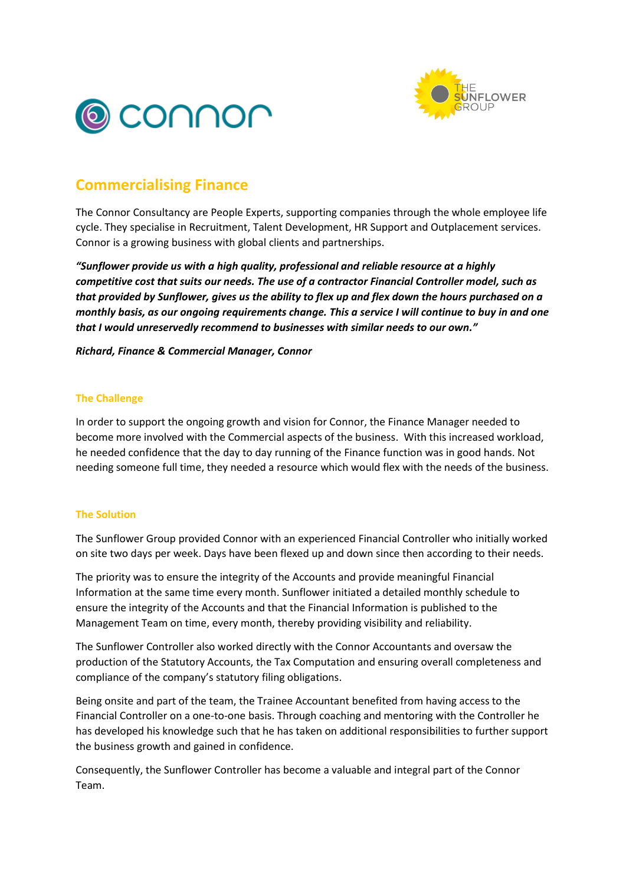



## **Commercialising Finance**

The Connor Consultancy are People Experts, supporting companies through the whole employee life cycle. They specialise in Recruitment, Talent Development, HR Support and Outplacement services. Connor is a growing business with global clients and partnerships.

*"Sunflower provide us with a high quality, professional and reliable resource at a highly competitive cost that suits our needs. The use of a contractor Financial Controller model, such as that provided by Sunflower, gives us the ability to flex up and flex down the hours purchased on a monthly basis, as our ongoing requirements change. This a service I will continue to buy in and one that I would unreservedly recommend to businesses with similar needs to our own."* 

*Richard, Finance & Commercial Manager, Connor*

## **The Challenge**

In order to support the ongoing growth and vision for Connor, the Finance Manager needed to become more involved with the Commercial aspects of the business. With this increased workload, he needed confidence that the day to day running of the Finance function was in good hands. Not needing someone full time, they needed a resource which would flex with the needs of the business.

## **The Solution**

The Sunflower Group provided Connor with an experienced Financial Controller who initially worked on site two days per week. Days have been flexed up and down since then according to their needs.

The priority was to ensure the integrity of the Accounts and provide meaningful Financial Information at the same time every month. Sunflower initiated a detailed monthly schedule to ensure the integrity of the Accounts and that the Financial Information is published to the Management Team on time, every month, thereby providing visibility and reliability.

The Sunflower Controller also worked directly with the Connor Accountants and oversaw the production of the Statutory Accounts, the Tax Computation and ensuring overall completeness and compliance of the company's statutory filing obligations.

Being onsite and part of the team, the Trainee Accountant benefited from having access to the Financial Controller on a one-to-one basis. Through coaching and mentoring with the Controller he has developed his knowledge such that he has taken on additional responsibilities to further support the business growth and gained in confidence.

Consequently, the Sunflower Controller has become a valuable and integral part of the Connor Team.